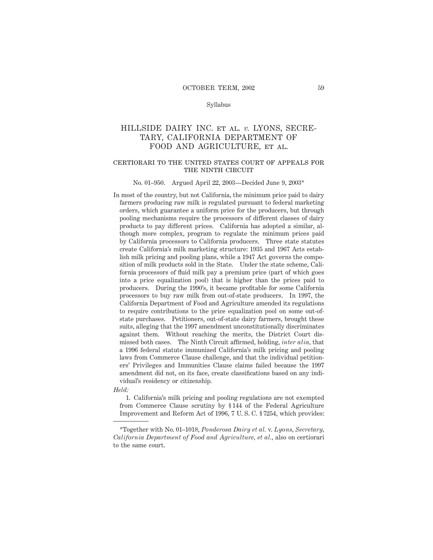### Syllabus

# HILLSIDE DAIRY INC. et al. *v.* LYONS, SECRE-TARY, CALIFORNIA DEPARTMENT OF FOOD AND AGRICULTURE, et al.

## certiorari to the united states court of appeals for THE NINTH CIRCUIT

#### No. 01–950. Argued April 22, 2003—Decided June 9, 2003\*

In most of the country, but not California, the minimum price paid to dairy farmers producing raw milk is regulated pursuant to federal marketing orders, which guarantee a uniform price for the producers, but through pooling mechanisms require the processors of different classes of dairy products to pay different prices. California has adopted a similar, although more complex, program to regulate the minimum prices paid by California processors to California producers. Three state statutes create California's milk marketing structure: 1935 and 1967 Acts establish milk pricing and pooling plans, while a 1947 Act governs the composition of milk products sold in the State. Under the state scheme, California processors of fluid milk pay a premium price (part of which goes into a price equalization pool) that is higher than the prices paid to producers. During the 1990's, it became profitable for some California processors to buy raw milk from out-of-state producers. In 1997, the California Department of Food and Agriculture amended its regulations to require contributions to the price equalization pool on some out-ofstate purchases. Petitioners, out-of-state dairy farmers, brought these suits, alleging that the 1997 amendment unconstitutionally discriminates against them. Without reaching the merits, the District Court dismissed both cases. The Ninth Circuit affirmed, holding, *inter alia,* that a 1996 federal statute immunized California's milk pricing and pooling laws from Commerce Clause challenge, and that the individual petitioners' Privileges and Immunities Clause claims failed because the 1997 amendment did not, on its face, create classifications based on any individual's residency or citizenship.

#### *Held:*

1. California's milk pricing and pooling regulations are not exempted from Commerce Clause scrutiny by § 144 of the Federal Agriculture Improvement and Reform Act of 1996, 7 U. S. C. § 7254, which provides:

<sup>\*</sup>Together with No. 01–1018, *Ponderosa Dairy et al.* v. *Lyons, Secretary, California Department of Food and Agriculture, et al.,* also on certiorari to the same court.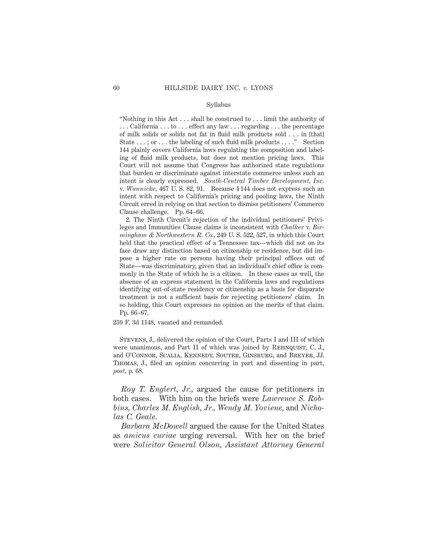#### Syllabus

"Nothing in this Act . . . shall be construed to . . . limit the authority of . . . California . . . to . . . effect any law . . . regarding . . . the percentage of milk solids or solids not fat in fluid milk products sold . . . in [that] State . . . ; or . . . the labeling of such fluid milk products . . . ." Section 144 plainly covers California laws regulating the composition and labeling of fluid milk products, but does not mention pricing laws. This Court will not assume that Congress has authorized state regulations that burden or discriminate against interstate commerce unless such an intent is clearly expressed. *South-Central Timber Development, Inc.* v. *Wunnicke,* 467 U. S. 82, 91. Because § 144 does not express such an intent with respect to California's pricing and pooling laws, the Ninth Circuit erred in relying on that section to dismiss petitioners' Commerce Clause challenge. Pp. 64–66.

2. The Ninth Circuit's rejection of the individual petitioners' Privileges and Immunities Clause claims is inconsistent with *Chalker* v. *Birmingham & Northwestern R. Co.,* 249 U. S. 522, 527, in which this Court held that the practical effect of a Tennessee tax—which did not on its face draw any distinction based on citizenship or residence, but did impose a higher rate on persons having their principal offices out of State—was discriminatory, given that an individual's chief office is commonly in the State of which he is a citizen. In these cases as well, the absence of an express statement in the California laws and regulations identifying out-of-state residency or citizenship as a basis for disparate treatment is not a sufficient basis for rejecting petitioners' claim. In so holding, this Court expresses no opinion on the merits of that claim. Pp. 66–67.

259 F. 3d 1148, vacated and remanded.

Stevens, J., delivered the opinion of the Court, Parts I and III of which were unanimous, and Part II of which was joined by REHNQUIST, C. J., and O'Connor, Scalia, Kennedy, Souter, Ginsburg, and Breyer, JJ. Thomas, J., filed an opinion concurring in part and dissenting in part, *post,* p. 68.

*Roy T. Englert, Jr.,* argued the cause for petitioners in both cases. With him on the briefs were *Lawrence S. Robbins, Charles M. English, Jr., Wendy M. Yoviene,* and *Nicholas C. Geale.*

*Barbara McDowell* argued the cause for the United States as *amicus curiae* urging reversal. With her on the brief were *Solicitor General Olson, Assistant Attorney General*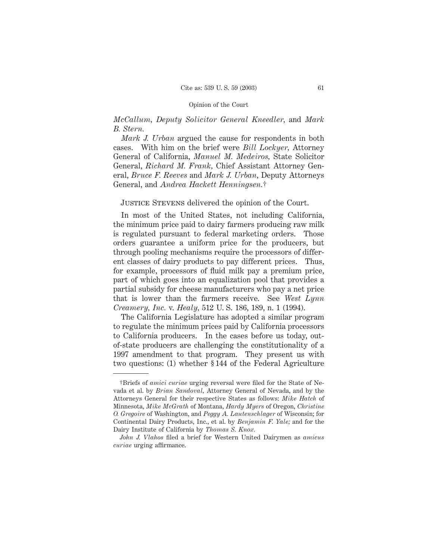# *McCallum, Deputy Solicitor General Kneedler,* and *Mark B. Stern.*

*Mark J. Urban* argued the cause for respondents in both cases. With him on the brief were *Bill Lockyer,* Attorney General of California, *Manuel M. Medeiros,* State Solicitor General, *Richard M. Frank,* Chief Assistant Attorney General, *Bruce F. Reeves* and *Mark J. Urban,* Deputy Attorneys General, and *Andrea Hackett Henningsen.*†

# Justice Stevens delivered the opinion of the Court.

In most of the United States, not including California, the minimum price paid to dairy farmers producing raw milk is regulated pursuant to federal marketing orders. Those orders guarantee a uniform price for the producers, but through pooling mechanisms require the processors of different classes of dairy products to pay different prices. Thus, for example, processors of fluid milk pay a premium price, part of which goes into an equalization pool that provides a partial subsidy for cheese manufacturers who pay a net price that is lower than the farmers receive. See *West Lynn Creamery, Inc.* v. *Healy,* 512 U. S. 186, 189, n. 1 (1994).

The California Legislature has adopted a similar program to regulate the minimum prices paid by California processors to California producers. In the cases before us today, outof-state producers are challenging the constitutionality of a 1997 amendment to that program. They present us with two questions: (1) whether § 144 of the Federal Agriculture

<sup>†</sup>Briefs of *amici curiae* urging reversal were filed for the State of Nevada et al. by *Brian Sandoval,* Attorney General of Nevada, and by the Attorneys General for their respective States as follows: *Mike Hatch* of Minnesota, *Mike McGrath* of Montana, *Hardy Myers* of Oregon, *Christine O. Gregoire* of Washington, and *Peggy A. Lautenschlager* of Wisconsin; for Continental Dairy Products, Inc., et al. by *Benjamin F. Yale;* and for the Dairy Institute of California by *Thomas S. Knox.*

*John J. Vlahos* filed a brief for Western United Dairymen as *amicus curiae* urging affirmance.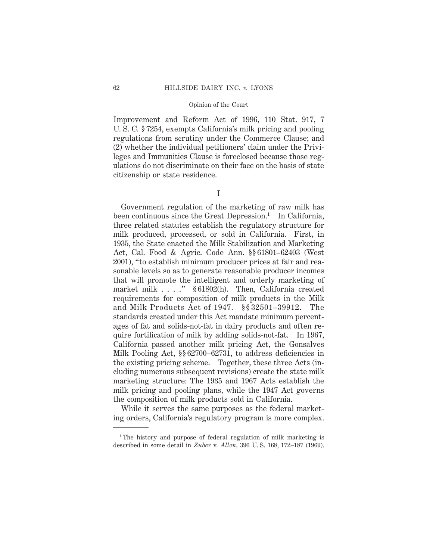Improvement and Reform Act of 1996, 110 Stat. 917, 7 U. S. C. § 7254, exempts California's milk pricing and pooling regulations from scrutiny under the Commerce Clause; and (2) whether the individual petitioners' claim under the Privileges and Immunities Clause is foreclosed because those regulations do not discriminate on their face on the basis of state citizenship or state residence.

I

Government regulation of the marketing of raw milk has been continuous since the Great Depression.<sup>1</sup> In California, three related statutes establish the regulatory structure for milk produced, processed, or sold in California. First, in 1935, the State enacted the Milk Stabilization and Marketing Act, Cal. Food & Agric. Code Ann. §§ 61801–62403 (West 2001), "to establish minimum producer prices at fair and reasonable levels so as to generate reasonable producer incomes that will promote the intelligent and orderly marketing of market milk . . . ." § 61802(h). Then, California created requirements for composition of milk products in the Milk and Milk Products Act of 1947. §§ 32501–39912. The standards created under this Act mandate minimum percentages of fat and solids-not-fat in dairy products and often require fortification of milk by adding solids-not-fat. In 1967, California passed another milk pricing Act, the Gonsalves Milk Pooling Act, §§ 62700–62731, to address deficiencies in the existing pricing scheme. Together, these three Acts (including numerous subsequent revisions) create the state milk marketing structure: The 1935 and 1967 Acts establish the milk pricing and pooling plans, while the 1947 Act governs the composition of milk products sold in California.

While it serves the same purposes as the federal marketing orders, California's regulatory program is more complex.

<sup>&</sup>lt;sup>1</sup>The history and purpose of federal regulation of milk marketing is described in some detail in *Zuber* v. *Allen,* 396 U. S. 168, 172–187 (1969).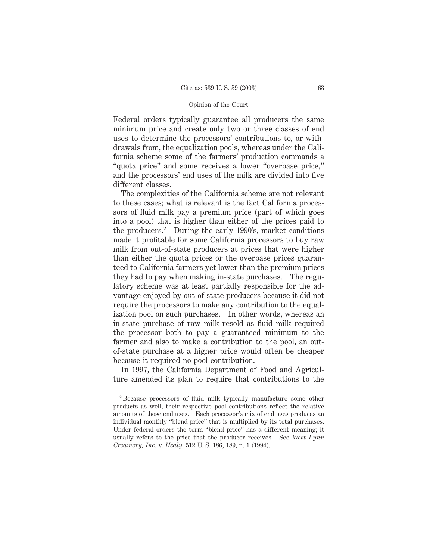Federal orders typically guarantee all producers the same minimum price and create only two or three classes of end uses to determine the processors' contributions to, or withdrawals from, the equalization pools, whereas under the California scheme some of the farmers' production commands a "quota price" and some receives a lower "overbase price," and the processors' end uses of the milk are divided into five different classes.

The complexities of the California scheme are not relevant to these cases; what is relevant is the fact California processors of fluid milk pay a premium price (part of which goes into a pool) that is higher than either of the prices paid to the producers.2 During the early 1990's, market conditions made it profitable for some California processors to buy raw milk from out-of-state producers at prices that were higher than either the quota prices or the overbase prices guaranteed to California farmers yet lower than the premium prices they had to pay when making in-state purchases. The regulatory scheme was at least partially responsible for the advantage enjoyed by out-of-state producers because it did not require the processors to make any contribution to the equalization pool on such purchases. In other words, whereas an in-state purchase of raw milk resold as fluid milk required the processor both to pay a guaranteed minimum to the farmer and also to make a contribution to the pool, an outof-state purchase at a higher price would often be cheaper because it required no pool contribution.

In 1997, the California Department of Food and Agriculture amended its plan to require that contributions to the

<sup>2</sup> Because processors of fluid milk typically manufacture some other products as well, their respective pool contributions reflect the relative amounts of those end uses. Each processor's mix of end uses produces an individual monthly "blend price" that is multiplied by its total purchases. Under federal orders the term "blend price" has a different meaning; it usually refers to the price that the producer receives. See *West Lynn Creamery, Inc.* v. *Healy,* 512 U. S. 186, 189, n. 1 (1994).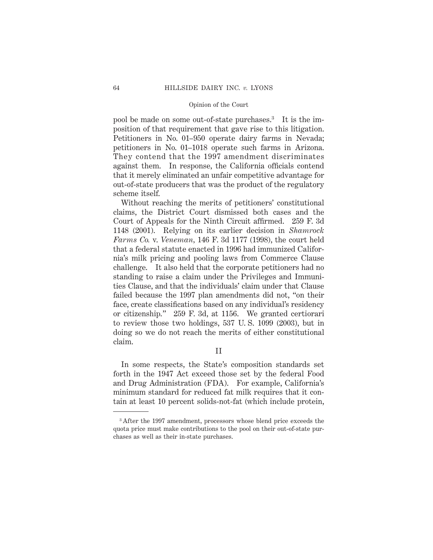pool be made on some out-of-state purchases.3 It is the imposition of that requirement that gave rise to this litigation. Petitioners in No. 01–950 operate dairy farms in Nevada; petitioners in No. 01–1018 operate such farms in Arizona. They contend that the 1997 amendment discriminates against them. In response, the California officials contend that it merely eliminated an unfair competitive advantage for out-of-state producers that was the product of the regulatory scheme itself.

Without reaching the merits of petitioners' constitutional claims, the District Court dismissed both cases and the Court of Appeals for the Ninth Circuit affirmed. 259 F. 3d 1148 (2001). Relying on its earlier decision in *Shamrock Farms Co.* v. *Veneman,* 146 F. 3d 1177 (1998), the court held that a federal statute enacted in 1996 had immunized California's milk pricing and pooling laws from Commerce Clause challenge. It also held that the corporate petitioners had no standing to raise a claim under the Privileges and Immunities Clause, and that the individuals' claim under that Clause failed because the 1997 plan amendments did not, "on their face, create classifications based on any individual's residency or citizenship." 259 F. 3d, at 1156. We granted certiorari to review those two holdings, 537 U. S. 1099 (2003), but in doing so we do not reach the merits of either constitutional claim.

II

In some respects, the State's composition standards set forth in the 1947 Act exceed those set by the federal Food and Drug Administration (FDA). For example, California's minimum standard for reduced fat milk requires that it contain at least 10 percent solids-not-fat (which include protein,

<sup>3</sup> After the 1997 amendment, processors whose blend price exceeds the quota price must make contributions to the pool on their out-of-state purchases as well as their in-state purchases.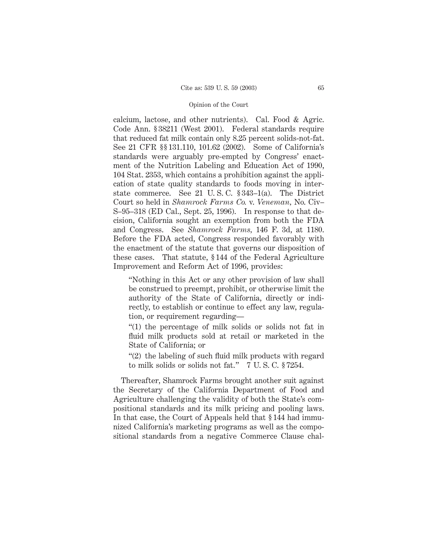calcium, lactose, and other nutrients). Cal. Food & Agric. Code Ann. § 38211 (West 2001). Federal standards require that reduced fat milk contain only 8.25 percent solids-not-fat. See 21 CFR §§ 131.110, 101.62 (2002). Some of California's standards were arguably pre-empted by Congress' enactment of the Nutrition Labeling and Education Act of 1990, 104 Stat. 2353, which contains a prohibition against the application of state quality standards to foods moving in interstate commerce. See 21 U. S. C. § 343–1(a). The District Court so held in *Shamrock Farms Co.* v. *Veneman,* No. Civ– S–95–318 (ED Cal., Sept. 25, 1996). In response to that decision, California sought an exemption from both the FDA and Congress. See *Shamrock Farms,* 146 F. 3d, at 1180. Before the FDA acted, Congress responded favorably with the enactment of the statute that governs our disposition of these cases. That statute, § 144 of the Federal Agriculture Improvement and Reform Act of 1996, provides:

"Nothing in this Act or any other provision of law shall be construed to preempt, prohibit, or otherwise limit the authority of the State of California, directly or indirectly, to establish or continue to effect any law, regulation, or requirement regarding—

"(1) the percentage of milk solids or solids not fat in fluid milk products sold at retail or marketed in the State of California; or

"(2) the labeling of such fluid milk products with regard to milk solids or solids not fat." 7 U. S. C. § 7254.

Thereafter, Shamrock Farms brought another suit against the Secretary of the California Department of Food and Agriculture challenging the validity of both the State's compositional standards and its milk pricing and pooling laws. In that case, the Court of Appeals held that § 144 had immunized California's marketing programs as well as the compositional standards from a negative Commerce Clause chal-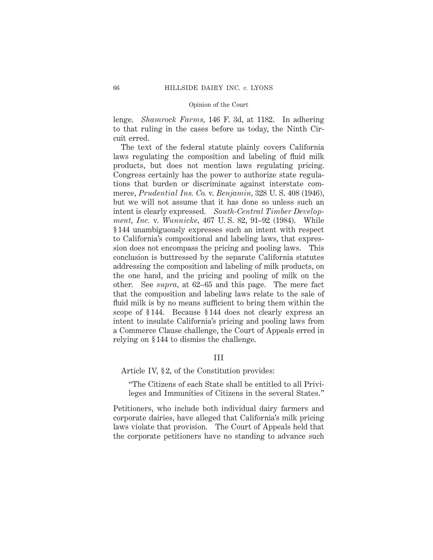lenge. *Shamrock Farms,* 146 F. 3d, at 1182. In adhering to that ruling in the cases before us today, the Ninth Circuit erred.

The text of the federal statute plainly covers California laws regulating the composition and labeling of fluid milk products, but does not mention laws regulating pricing. Congress certainly has the power to authorize state regulations that burden or discriminate against interstate commerce, *Prudential Ins. Co.* v. *Benjamin,* 328 U. S. 408 (1946), but we will not assume that it has done so unless such an intent is clearly expressed. *South-Central Timber Development, Inc.* v. *Wunnicke,* 467 U. S. 82, 91–92 (1984). While § 144 unambiguously expresses such an intent with respect to California's compositional and labeling laws, that expression does not encompass the pricing and pooling laws. This conclusion is buttressed by the separate California statutes addressing the composition and labeling of milk products, on the one hand, and the pricing and pooling of milk on the other. See *supra,* at 62–65 and this page. The mere fact that the composition and labeling laws relate to the sale of fluid milk is by no means sufficient to bring them within the scope of § 144. Because § 144 does not clearly express an intent to insulate California's pricing and pooling laws from a Commerce Clause challenge, the Court of Appeals erred in relying on § 144 to dismiss the challenge.

# III

Article IV, §2, of the Constitution provides:

"The Citizens of each State shall be entitled to all Privileges and Immunities of Citizens in the several States."

Petitioners, who include both individual dairy farmers and corporate dairies, have alleged that California's milk pricing laws violate that provision. The Court of Appeals held that the corporate petitioners have no standing to advance such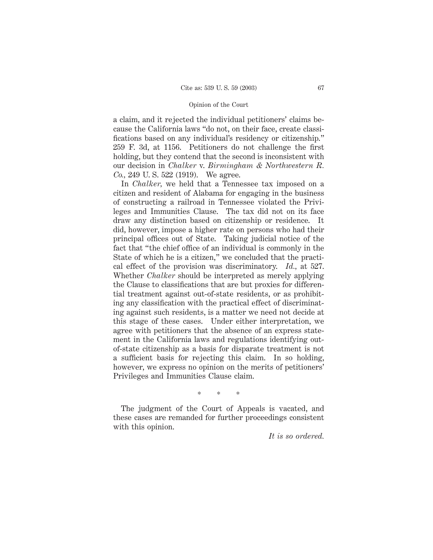a claim, and it rejected the individual petitioners' claims because the California laws "do not, on their face, create classifications based on any individual's residency or citizenship." 259 F. 3d, at 1156. Petitioners do not challenge the first holding, but they contend that the second is inconsistent with our decision in *Chalker* v. *Birmingham & Northwestern R. Co.,* 249 U. S. 522 (1919). We agree.

In *Chalker,* we held that a Tennessee tax imposed on a citizen and resident of Alabama for engaging in the business of constructing a railroad in Tennessee violated the Privileges and Immunities Clause. The tax did not on its face draw any distinction based on citizenship or residence. It did, however, impose a higher rate on persons who had their principal offices out of State. Taking judicial notice of the fact that "the chief office of an individual is commonly in the State of which he is a citizen," we concluded that the practical effect of the provision was discriminatory. *Id.,* at 527. Whether *Chalker* should be interpreted as merely applying the Clause to classifications that are but proxies for differential treatment against out-of-state residents, or as prohibiting any classification with the practical effect of discriminating against such residents, is a matter we need not decide at this stage of these cases. Under either interpretation, we agree with petitioners that the absence of an express statement in the California laws and regulations identifying outof-state citizenship as a basis for disparate treatment is not a sufficient basis for rejecting this claim. In so holding, however, we express no opinion on the merits of petitioners' Privileges and Immunities Clause claim.

\* \* \*

The judgment of the Court of Appeals is vacated, and these cases are remanded for further proceedings consistent with this opinion.

*It is so ordered.*